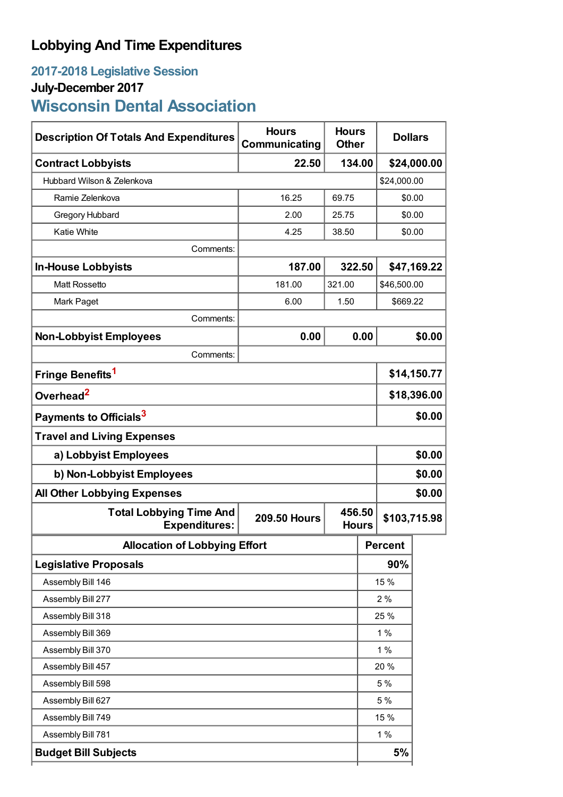# **Lobbying And Time Expenditures**

## **2017-2018 Legislative Session July-December 2017 Wisconsin Dental Association**

| <b>Description Of Totals And Expenditures</b>          | <b>Hours</b><br>Communicating | <b>Hours</b><br><b>Other</b> |                        | <b>Dollars</b> |              |  |
|--------------------------------------------------------|-------------------------------|------------------------------|------------------------|----------------|--------------|--|
| <b>Contract Lobbyists</b>                              | 22.50                         | 134.00                       |                        |                | \$24,000.00  |  |
| Hubbard Wilson & Zelenkova                             |                               |                              |                        | \$24,000.00    |              |  |
| Ramie Zelenkova                                        | 16.25                         | 69.75                        |                        | \$0.00         |              |  |
| Gregory Hubbard                                        | 2.00                          | 25.75                        |                        |                | \$0.00       |  |
| <b>Katie White</b>                                     | 4.25                          | 38.50                        |                        |                | \$0.00       |  |
| Comments:                                              |                               |                              |                        |                |              |  |
| <b>In-House Lobbyists</b>                              | 187.00                        |                              | 322.50                 |                | \$47,169.22  |  |
| <b>Matt Rossetto</b>                                   | 181.00                        | 321.00                       |                        | \$46,500.00    |              |  |
| Mark Paget                                             | 6.00                          | 1.50                         |                        |                | \$669.22     |  |
| Comments:                                              |                               |                              |                        |                |              |  |
| <b>Non-Lobbyist Employees</b>                          | 0.00                          | 0.00                         |                        |                | \$0.00       |  |
| Comments:                                              |                               |                              |                        |                |              |  |
| Fringe Benefits <sup>1</sup>                           |                               |                              | \$14,150.77            |                |              |  |
| Overhead <sup>2</sup>                                  |                               |                              |                        | \$18,396.00    |              |  |
| Payments to Officials <sup>3</sup>                     |                               |                              |                        | \$0.00         |              |  |
| <b>Travel and Living Expenses</b>                      |                               |                              |                        |                |              |  |
| a) Lobbyist Employees                                  |                               |                              |                        | \$0.00         |              |  |
| b) Non-Lobbyist Employees                              |                               |                              |                        | \$0.00         |              |  |
| \$0.00<br><b>All Other Lobbying Expenses</b>           |                               |                              |                        |                |              |  |
| <b>Total Lobbying Time And</b><br><b>Expenditures:</b> | <b>209.50 Hours</b>           |                              | 456.50<br><b>Hours</b> |                | \$103,715.98 |  |
| <b>Allocation of Lobbying Effort</b>                   |                               |                              |                        | <b>Percent</b> |              |  |
| <b>Legislative Proposals</b>                           |                               |                              |                        | 90%            |              |  |
| Assembly Bill 146                                      |                               |                              | 15 %                   |                |              |  |
| Assembly Bill 277                                      |                               |                              |                        | 2%             |              |  |
| Assembly Bill 318                                      |                               |                              | 25 %                   |                |              |  |
| Assembly Bill 369                                      |                               |                              |                        | 1%             |              |  |
| Assembly Bill 370                                      |                               |                              |                        | 1%             |              |  |
| Assembly Bill 457                                      |                               |                              | 20 %                   |                |              |  |
| Assembly Bill 598                                      |                               |                              |                        | 5 %            |              |  |
| Assembly Bill 627                                      |                               |                              |                        | 5 %            |              |  |
| Assembly Bill 749                                      |                               |                              |                        | 15 %           |              |  |
| Assembly Bill 781                                      |                               |                              | 1%                     |                |              |  |
| <b>Budget Bill Subjects</b>                            |                               |                              |                        | 5%             |              |  |